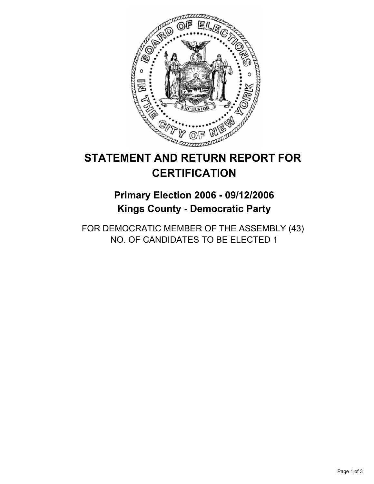

# **STATEMENT AND RETURN REPORT FOR CERTIFICATION**

## **Primary Election 2006 - 09/12/2006 Kings County - Democratic Party**

FOR DEMOCRATIC MEMBER OF THE ASSEMBLY (43) NO. OF CANDIDATES TO BE ELECTED 1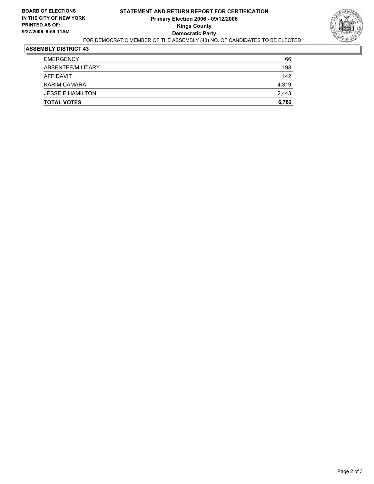

### **ASSEMBLY DISTRICT 43**

| <b>TOTAL VOTES</b>      | 6,762 |
|-------------------------|-------|
| <b>JESSE E HAMILTON</b> | 2,443 |
| <b>KARIM CAMARA</b>     | 4,319 |
| AFFIDAVIT               | 142   |
| ABSENTEE/MILITARY       | 198   |
| <b>EMERGENCY</b>        | 66    |